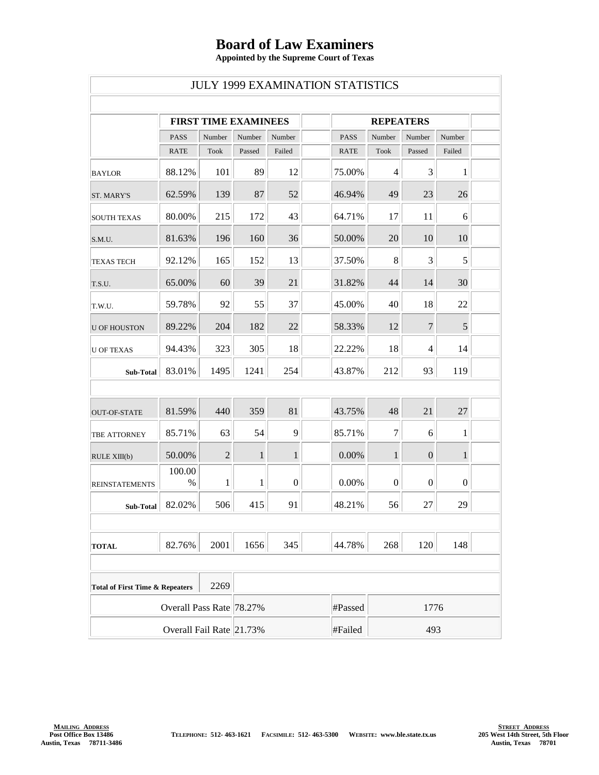## **Board of Law Examiners**

**Appointed by the Supreme Court of Texas**

| <b>JULY 1999 EXAMINATION STATISTICS</b>            |                             |                |              |                  |  |                  |                  |                  |                  |  |
|----------------------------------------------------|-----------------------------|----------------|--------------|------------------|--|------------------|------------------|------------------|------------------|--|
|                                                    | <b>FIRST TIME EXAMINEES</b> |                |              |                  |  | <b>REPEATERS</b> |                  |                  |                  |  |
|                                                    | <b>PASS</b>                 | Number         | Number       | Number           |  | <b>PASS</b>      | Number           | Number           | Number           |  |
|                                                    | <b>RATE</b>                 | <b>Took</b>    | Passed       | Failed           |  | <b>RATE</b>      | <b>Took</b>      | Passed           | Failed           |  |
| <b>BAYLOR</b>                                      | 88.12%                      | 101            | 89           | 12               |  | 75.00%           | $\overline{4}$   | 3                | 1                |  |
| <b>ST. MARY'S</b>                                  | 62.59%                      | 139            | 87           | 52               |  | 46.94%           | 49               | 23               | 26               |  |
| <b>SOUTH TEXAS</b>                                 | 80.00%                      | 215            | 172          | 43               |  | 64.71%           | 17               | 11               | 6                |  |
| S.M.U.                                             | 81.63%                      | 196            | 160          | 36               |  | 50.00%           | 20               | 10               | 10               |  |
| <b>TEXAS TECH</b>                                  | 92.12%                      | 165            | 152          | 13               |  | 37.50%           | $8\,$            | 3                | 5                |  |
| T.S.U.                                             | 65.00%                      | 60             | 39           | 21               |  | 31.82%           | 44               | 14               | 30               |  |
| T.W.U.                                             | 59.78%                      | 92             | 55           | 37               |  | 45.00%           | 40               | 18               | 22               |  |
| <b>U OF HOUSTON</b>                                | 89.22%                      | 204            | 182          | 22               |  | 58.33%           | 12               | $\boldsymbol{7}$ | 5                |  |
| <b>U OF TEXAS</b>                                  | 94.43%                      | 323            | 305          | 18               |  | 22.22%           | 18               | 4                | 14               |  |
| Sub-Total                                          | 83.01%                      | 1495           | 1241         | 254              |  | 43.87%           | 212              | 93               | 119              |  |
|                                                    |                             |                |              |                  |  |                  |                  |                  |                  |  |
| OUT-OF-STATE                                       | 81.59%                      | 440            | 359          | 81               |  | 43.75%           | 48               | 21               | 27               |  |
| TBE ATTORNEY                                       | 85.71%                      | 63             | 54           | 9                |  | 85.71%           | $\tau$           | 6                | 1                |  |
| RULE XIII(b)                                       | 50.00%                      | $\overline{2}$ | $\mathbf{1}$ | $\mathbf{1}$     |  | 0.00%            | $\mathbf{1}$     | $\boldsymbol{0}$ | $\mathbf{1}$     |  |
| <b>REINSTATEMENTS</b>                              | 100.00<br>%                 | 1              | 1            | $\boldsymbol{0}$ |  | 0.00%            | $\boldsymbol{0}$ | $\boldsymbol{0}$ | $\boldsymbol{0}$ |  |
| Sub-Total                                          | 82.02%                      | 506            | 415          | 91               |  | 48.21%           | 56               | 27               | 29               |  |
|                                                    |                             |                |              |                  |  |                  |                  |                  |                  |  |
| <b>TOTAL</b>                                       | 82.76%                      | 2001           | 1656         | 345              |  | 44.78%           | 268              | 120              | 148              |  |
|                                                    |                             |                |              |                  |  |                  |                  |                  |                  |  |
| 2269<br><b>Total of First Time &amp; Repeaters</b> |                             |                |              |                  |  |                  |                  |                  |                  |  |
| Overall Pass Rate 78.27%                           |                             |                |              |                  |  | #Passed          | 1776             |                  |                  |  |
| Overall Fail Rate 21.73%                           |                             |                |              |                  |  | #Failed          | 493              |                  |                  |  |